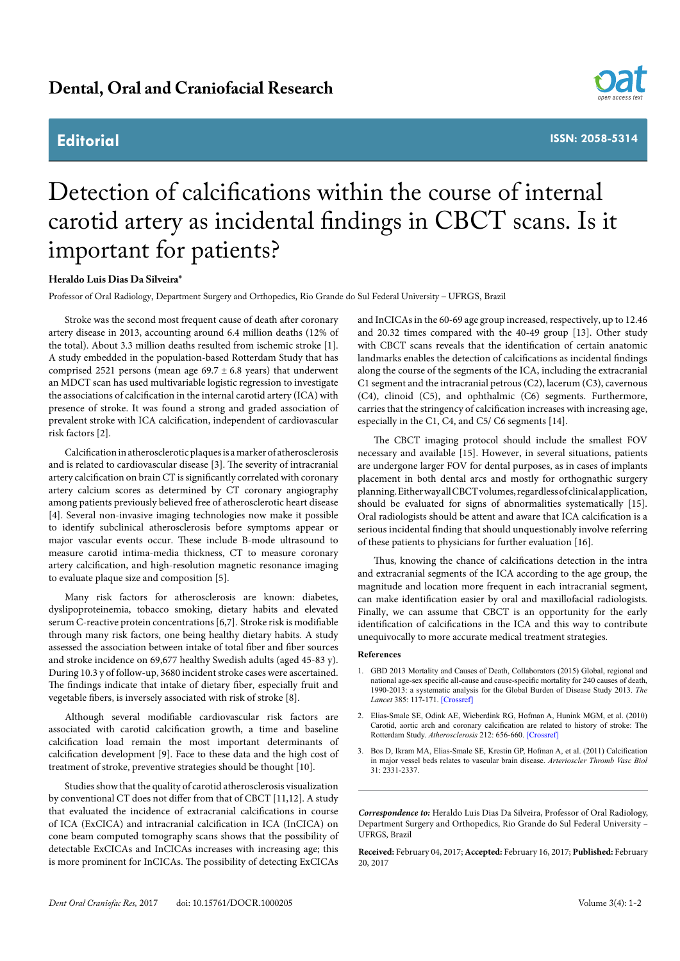## **Editorial**



**ISSN: 2058-5314**

## Detection of calcifications within the course of internal carotid artery as incidental findings in CBCT scans. Is it important for patients?

## **Heraldo Luis Dias Da Silveira\***

Professor of Oral Radiology, Department Surgery and Orthopedics, Rio Grande do Sul Federal University – UFRGS, Brazil

Stroke was the second most frequent cause of death after coronary artery disease in 2013, accounting around 6.4 million deaths (12% of the total). About 3.3 million deaths resulted from ischemic stroke [1]. A study embedded in the population-based Rotterdam Study that has comprised 2521 persons (mean age  $69.7 \pm 6.8$  years) that underwent an MDCT scan has used multivariable logistic regression to investigate the associations of calcification in the internal carotid artery (ICA) with presence of stroke. It was found a strong and graded association of prevalent stroke with ICA calcification, independent of cardiovascular risk factors [2].

Calcification in atherosclerotic plaques is a marker of atherosclerosis and is related to cardiovascular disease [3]. The severity of intracranial artery calcification on brain CT is significantly correlated with coronary artery calcium scores as determined by CT coronary angiography among patients previously believed free of atherosclerotic heart disease [4]. Several non-invasive imaging technologies now make it possible to identify subclinical atherosclerosis before symptoms appear or major vascular events occur. These include B-mode ultrasound to measure carotid intima-media thickness, CT to measure coronary artery calcification, and high-resolution magnetic resonance imaging to evaluate plaque size and composition [5].

Many risk factors for atherosclerosis are known: diabetes, dyslipoproteinemia, tobacco smoking, dietary habits and elevated serum C-reactive protein concentrations [6,7]. Stroke risk is modifiable through many risk factors, one being healthy dietary habits. A study assessed the association between intake of total fiber and fiber sources and stroke incidence on 69,677 healthy Swedish adults (aged 45-83 y). During 10.3 y of follow-up, 3680 incident stroke cases were ascertained. The findings indicate that intake of dietary fiber, especially fruit and vegetable fibers, is inversely associated with risk of stroke [8].

Although several modifiable cardiovascular risk factors are associated with carotid calcification growth, a time and baseline calcification load remain the most important determinants of calcification development [9]. Face to these data and the high cost of treatment of stroke, preventive strategies should be thought [10].

Studies show that the quality of carotid atherosclerosis visualization by conventional CT does not differ from that of CBCT [11,12]. A study that evaluated the incidence of extracranial calcifications in course of ICA (ExCICA) and intracranial calcification in ICA (InCICA) on cone beam computed tomography scans shows that the possibility of detectable ExCICAs and InCICAs increases with increasing age; this is more prominent for InCICAs. The possibility of detecting ExCICAs

and InCICAs in the 60-69 age group increased, respectively, up to 12.46 and 20.32 times compared with the 40-49 group [13]. Other study with CBCT scans reveals that the identification of certain anatomic landmarks enables the detection of calcifications as incidental findings along the course of the segments of the ICA, including the extracranial C1 segment and the intracranial petrous (C2), lacerum (C3), cavernous (C4), clinoid (C5), and ophthalmic (C6) segments. Furthermore, carries that the stringency of calcification increases with increasing age, especially in the C1, C4, and C5/ C6 segments [14].

The CBCT imaging protocol should include the smallest FOV necessary and available [15]. However, in several situations, patients are undergone larger FOV for dental purposes, as in cases of implants placement in both dental arcs and mostly for orthognathic surgery planning. Either way all CBCT volumes, regardless of clinical application, should be evaluated for signs of abnormalities systematically [15]. Oral radiologists should be attent and aware that ICA calcification is a serious incidental finding that should unquestionably involve referring of these patients to physicians for further evaluation [16].

Thus, knowing the chance of calcifications detection in the intra and extracranial segments of the ICA according to the age group, the magnitude and location more frequent in each intracranial segment, can make identification easier by oral and maxillofacial radiologists. Finally, we can assume that CBCT is an opportunity for the early identification of calcifications in the ICA and this way to contribute unequivocally to more accurate medical treatment strategies.

## **References**

- 1. GBD 2013 Mortality and Causes of Death, Collaborators (2015) Global, regional and national age-sex specific all-cause and cause-specific mortality for 240 causes of death, 1990-2013: a systematic analysis for the Global Burden of Disease Study 2013. *The Lancet* 385: 117-171. [\[Crossref\]](https://www.ncbi.nlm.nih.gov/pubmed/25530442)
- 2. Elias-Smale SE, Odink AE, Wieberdink RG, Hofman A, Hunink MGM, et al. (2010) Carotid, aortic arch and coronary calcification are related to history of stroke: The Rotterdam Study. *Atherosclerosis* 212: 656-660. [\[Crossref\]](https://www.ncbi.nlm.nih.gov/pubmed/20643406)
- 3. Bos D, Ikram MA, Elias-Smale SE, Krestin GP, Hofman A, et al. (2011) Calcification in major vessel beds relates to vascular brain disease. *Arterioscler Thromb Vasc Biol* 31: 2331-2337.

*Correspondence to:* Heraldo Luis Dias Da Silveira, Professor of Oral Radiology, Department Surgery and Orthopedics, Rio Grande do Sul Federal University – UFRGS, Brazil

**Received:** February 04, 2017; **Accepted:** February 16, 2017; **Published:** February 20, 2017